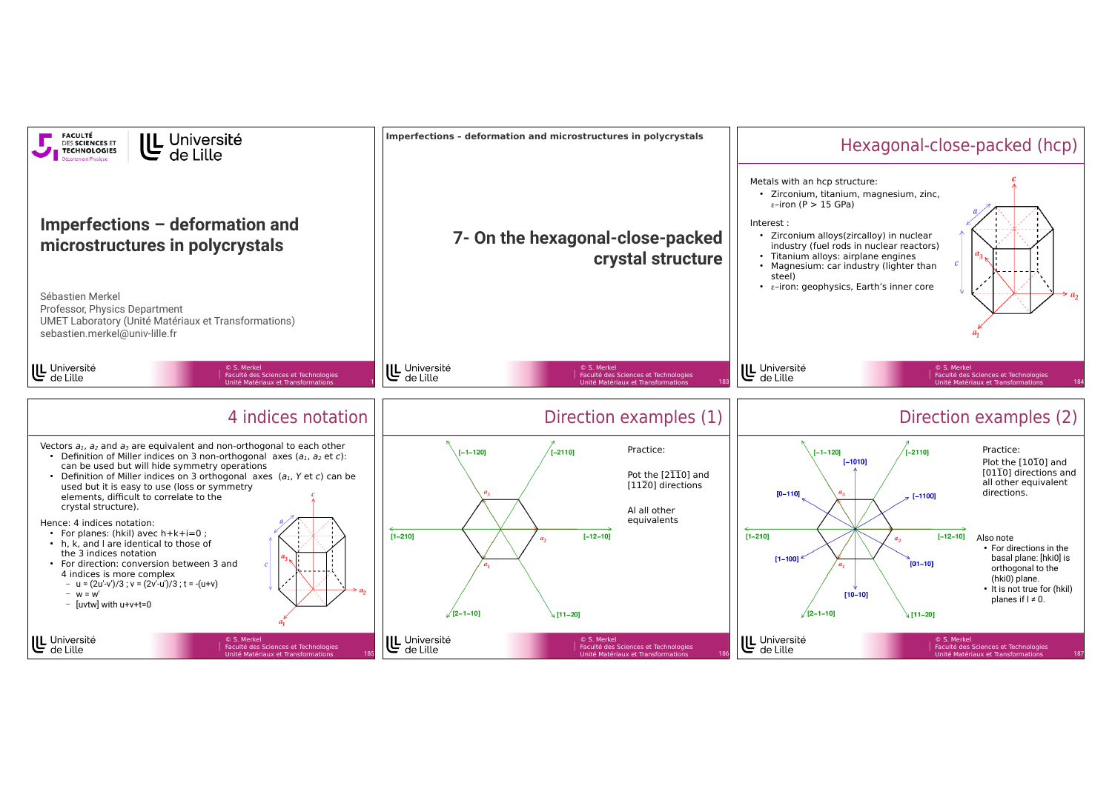